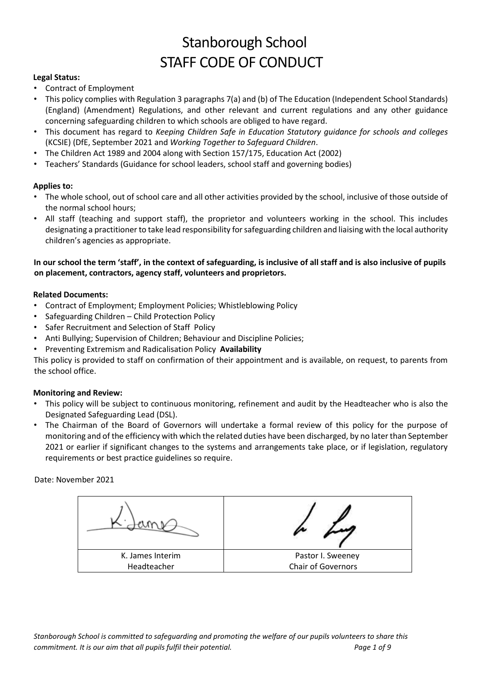# Stanborough School STAFF CODE OF CONDUCT

## **Legal Status:**

- Contract of Employment
- This policy complies with Regulation 3 paragraphs 7(a) and (b) of The Education (Independent School Standards) (England) (Amendment) Regulations, and other relevant and current regulations and any other guidance concerning safeguarding children to which schools are obliged to have regard.
- This document has regard to *Keeping Children Safe in Education Statutory guidance for schools and colleges* (KCSIE) (DfE, September 2021 and *Working Together to Safeguard Children*.
- The Children Act 1989 and 2004 along with Section 157/175, Education Act (2002)
- Teachers' Standards (Guidance for school leaders, school staff and governing bodies)

## **Applies to:**

- The whole school, out of school care and all other activities provided by the school, inclusive of those outside of the normal school hours;
- All staff (teaching and support staff), the proprietor and volunteers working in the school. This includes designating a practitioner to take lead responsibility for safeguarding children and liaising with the local authority children's agencies as appropriate.

# **In our school the term 'staff', in the context of safeguarding, is inclusive of all staff and is also inclusive of pupils on placement, contractors, agency staff, volunteers and proprietors.**

## **Related Documents:**

- Contract of Employment; Employment Policies; Whistleblowing Policy
- Safeguarding Children Child Protection Policy
- Safer Recruitment and Selection of Staff Policy
- Anti Bullying; Supervision of Children; Behaviour and Discipline Policies;
- Preventing Extremism and Radicalisation Policy **Availability**

This policy is provided to staff on confirmation of their appointment and is available, on request, to parents from the school office.

#### **Monitoring and Review:**

- This policy will be subject to continuous monitoring, refinement and audit by the Headteacher who is also the Designated Safeguarding Lead (DSL).
- The Chairman of the Board of Governors will undertake a formal review of this policy for the purpose of monitoring and of the efficiency with which the related duties have been discharged, by no later than September 2021 or earlier if significant changes to the systems and arrangements take place, or if legislation, regulatory requirements or best practice guidelines so require.

Date: November 2021

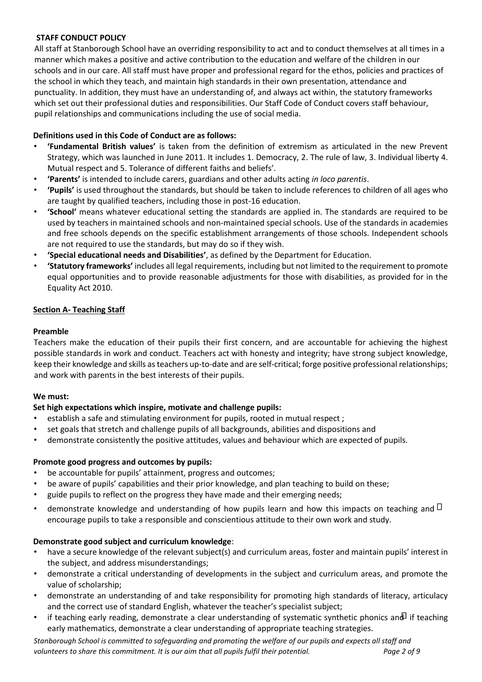# **STAFF CONDUCT POLICY**

All staff at Stanborough School have an overriding responsibility to act and to conduct themselves at all times in a manner which makes a positive and active contribution to the education and welfare of the children in our schools and in our care. All staff must have proper and professional regard for the ethos, policies and practices of the school in which they teach, and maintain high standards in their own presentation, attendance and punctuality. In addition, they must have an understanding of, and always act within, the statutory frameworks which set out their professional duties and responsibilities. Our Staff Code of Conduct covers staff behaviour, pupil relationships and communications including the use of social media.

# **Definitions used in this Code of Conduct are as follows:**

- **'Fundamental British values'** is taken from the definition of extremism as articulated in the new Prevent Strategy, which was launched in June 2011. It includes 1. Democracy, 2. The rule of law, 3. Individual liberty 4. Mutual respect and 5. Tolerance of different faiths and beliefs'.
- **'Parents'** is intended to include carers, guardians and other adults acting *in loco parentis*.
- **'Pupils'** is used throughout the standards, but should be taken to include references to children of all ages who are taught by qualified teachers, including those in post-16 education.
- **'School'** means whatever educational setting the standards are applied in. The standards are required to be used by teachers in maintained schools and non-maintained special schools. Use of the standards in academies and free schools depends on the specific establishment arrangements of those schools. Independent schools are not required to use the standards, but may do so if they wish.
- **'Special educational needs and Disabilities'**, as defined by the Department for Education.
- **'Statutory frameworks'** includes all legal requirements, including but not limited to the requirement to promote equal opportunities and to provide reasonable adjustments for those with disabilities, as provided for in the Equality Act 2010.

# **Section A- Teaching Staff**

## **Preamble**

Teachers make the education of their pupils their first concern, and are accountable for achieving the highest possible standards in work and conduct. Teachers act with honesty and integrity; have strong subject knowledge, keep their knowledge and skills as teachers up-to-date and are self-critical; forge positive professional relationships; and work with parents in the best interests of their pupils.

# **We must:**

# **Set high expectations which inspire, motivate and challenge pupils:**

- establish a safe and stimulating environment for pupils, rooted in mutual respect ;
- set goals that stretch and challenge pupils of all backgrounds, abilities and dispositions and
- demonstrate consistently the positive attitudes, values and behaviour which are expected of pupils.

#### **Promote good progress and outcomes by pupils:**

- be accountable for pupils' attainment, progress and outcomes;
- be aware of pupils' capabilities and their prior knowledge, and plan teaching to build on these;
- guide pupils to reflect on the progress they have made and their emerging needs;
- demonstrate knowledge and understanding of how pupils learn and how this impacts on teaching and  $\Box$ encourage pupils to take a responsible and conscientious attitude to their own work and study.

# **Demonstrate good subject and curriculum knowledge**:

- have a secure knowledge of the relevant subject(s) and curriculum areas, foster and maintain pupils' interest in the subject, and address misunderstandings;
- demonstrate a critical understanding of developments in the subject and curriculum areas, and promote the value of scholarship;
- demonstrate an understanding of and take responsibility for promoting high standards of literacy, articulacy and the correct use of standard English, whatever the teacher's specialist subject;
- if teaching early reading, demonstrate a clear understanding of systematic synthetic phonics and if teaching early mathematics, demonstrate a clear understanding of appropriate teaching strategies.

*Stanborough School is committed to safeguarding and promoting the welfare of our pupils and expects all staff and volunteers to share this commitment. It is our aim that all pupils fulfil their potential. Page 2 of 9*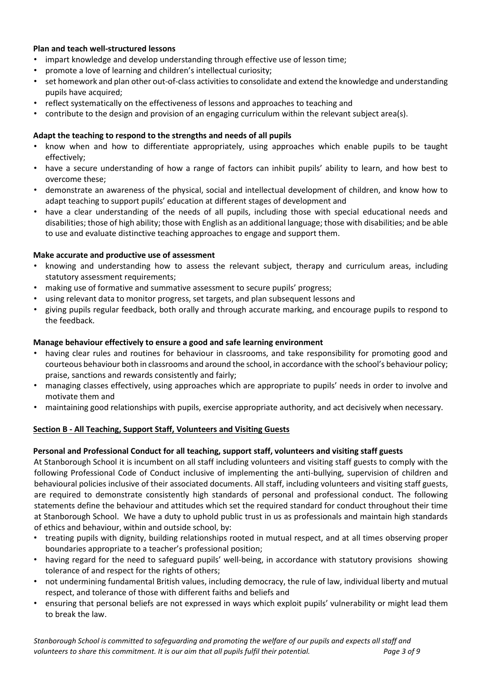## **Plan and teach well-structured lessons**

- impart knowledge and develop understanding through effective use of lesson time;
- promote a love of learning and children's intellectual curiosity;
- set homework and plan other out-of-class activities to consolidate and extend the knowledge and understanding pupils have acquired;
- reflect systematically on the effectiveness of lessons and approaches to teaching and
- contribute to the design and provision of an engaging curriculum within the relevant subject area(s).

#### **Adapt the teaching to respond to the strengths and needs of all pupils**

- know when and how to differentiate appropriately, using approaches which enable pupils to be taught effectively;
- have a secure understanding of how a range of factors can inhibit pupils' ability to learn, and how best to overcome these;
- demonstrate an awareness of the physical, social and intellectual development of children, and know how to adapt teaching to support pupils' education at different stages of development and
- have a clear understanding of the needs of all pupils, including those with special educational needs and disabilities; those of high ability; those with English as an additional language; those with disabilities; and be able to use and evaluate distinctive teaching approaches to engage and support them.

#### **Make accurate and productive use of assessment**

- knowing and understanding how to assess the relevant subject, therapy and curriculum areas, including statutory assessment requirements;
- making use of formative and summative assessment to secure pupils' progress;
- using relevant data to monitor progress, set targets, and plan subsequent lessons and
- giving pupils regular feedback, both orally and through accurate marking, and encourage pupils to respond to the feedback.

#### **Manage behaviour effectively to ensure a good and safe learning environment**

- having clear rules and routines for behaviour in classrooms, and take responsibility for promoting good and courteous behaviour both in classrooms and around the school, in accordance with the school's behaviour policy; praise, sanctions and rewards consistently and fairly;
- managing classes effectively, using approaches which are appropriate to pupils' needs in order to involve and motivate them and
- maintaining good relationships with pupils, exercise appropriate authority, and act decisively when necessary.

#### **Section B - All Teaching, Support Staff, Volunteers and Visiting Guests**

#### **Personal and Professional Conduct for all teaching, support staff, volunteers and visiting staff guests**

At Stanborough School it is incumbent on all staff including volunteers and visiting staff guests to comply with the following Professional Code of Conduct inclusive of implementing the anti-bullying, supervision of children and behavioural policies inclusive of their associated documents. All staff, including volunteers and visiting staff guests, are required to demonstrate consistently high standards of personal and professional conduct. The following statements define the behaviour and attitudes which set the required standard for conduct throughout their time at Stanborough School. We have a duty to uphold public trust in us as professionals and maintain high standards of ethics and behaviour, within and outside school, by:

- treating pupils with dignity, building relationships rooted in mutual respect, and at all times observing proper boundaries appropriate to a teacher's professional position;
- having regard for the need to safeguard pupils' well-being, in accordance with statutory provisions showing tolerance of and respect for the rights of others;
- not undermining fundamental British values, including democracy, the rule of law, individual liberty and mutual respect, and tolerance of those with different faiths and beliefs and
- ensuring that personal beliefs are not expressed in ways which exploit pupils' vulnerability or might lead them to break the law.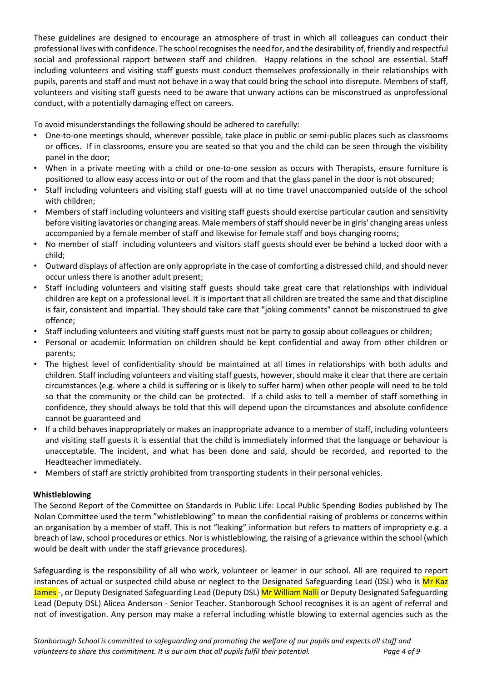These guidelines are designed to encourage an atmosphere of trust in which all colleagues can conduct their professional lives with confidence. The school recognises the need for, and the desirability of, friendly and respectful social and professional rapport between staff and children. Happy relations in the school are essential. Staff including volunteers and visiting staff guests must conduct themselves professionally in their relationships with pupils, parents and staff and must not behave in a way that could bring the school into disrepute. Members of staff, volunteers and visiting staff guests need to be aware that unwary actions can be misconstrued as unprofessional conduct, with a potentially damaging effect on careers.

To avoid misunderstandings the following should be adhered to carefully:

- One-to-one meetings should, wherever possible, take place in public or semi-public places such as classrooms or offices. If in classrooms, ensure you are seated so that you and the child can be seen through the visibility panel in the door;
- When in a private meeting with a child or one-to-one session as occurs with Therapists, ensure furniture is positioned to allow easy access into or out of the room and that the glass panel in the door is not obscured;
- Staff including volunteers and visiting staff guests will at no time travel unaccompanied outside of the school with children;
- Members of staff including volunteers and visiting staff guests should exercise particular caution and sensitivity before visiting lavatories or changing areas. Male members of staff should never be in girls' changing areas unless accompanied by a female member of staff and likewise for female staff and boys changing rooms;
- No member of staff including volunteers and visitors staff guests should ever be behind a locked door with a child;
- Outward displays of affection are only appropriate in the case of comforting a distressed child, and should never occur unless there is another adult present;
- Staff including volunteers and visiting staff guests should take great care that relationships with individual children are kept on a professional level. It is important that all children are treated the same and that discipline is fair, consistent and impartial. They should take care that "joking comments" cannot be misconstrued to give offence;
- Staff including volunteers and visiting staff guests must not be party to gossip about colleagues or children;
- Personal or academic Information on children should be kept confidential and away from other children or parents;
- The highest level of confidentiality should be maintained at all times in relationships with both adults and children. Staff including volunteers and visiting staff guests, however, should make it clear that there are certain circumstances (e.g. where a child is suffering or is likely to suffer harm) when other people will need to be told so that the community or the child can be protected. If a child asks to tell a member of staff something in confidence, they should always be told that this will depend upon the circumstances and absolute confidence cannot be guaranteed and
- If a child behaves inappropriately or makes an inappropriate advance to a member of staff, including volunteers and visiting staff guests it is essential that the child is immediately informed that the language or behaviour is unacceptable. The incident, and what has been done and said, should be recorded, and reported to the Headteacher immediately.
- Members of staff are strictly prohibited from transporting students in their personal vehicles.

# **Whistleblowing**

The Second Report of the Committee on Standards in Public Life: Local Public Spending Bodies published by The Nolan Committee used the term "whistleblowing" to mean the confidential raising of problems or concerns within an organisation by a member of staff. This is not "leaking" information but refers to matters of impropriety e.g. a breach of law, school procedures or ethics. Nor is whistleblowing, the raising of a grievance within the school (which would be dealt with under the staff grievance procedures).

Safeguarding is the responsibility of all who work, volunteer or learner in our school. All are required to report instances of actual or suspected child abuse or neglect to the Designated Safeguarding Lead (DSL) who is Mr Kaz James -, or Deputy Designated Safeguarding Lead (Deputy DSL) Mr William Nalli or Deputy Designated Safeguarding Lead (Deputy DSL) Alicea Anderson - Senior Teacher. Stanborough School recognises it is an agent of referral and not of investigation. Any person may make a referral including whistle blowing to external agencies such as the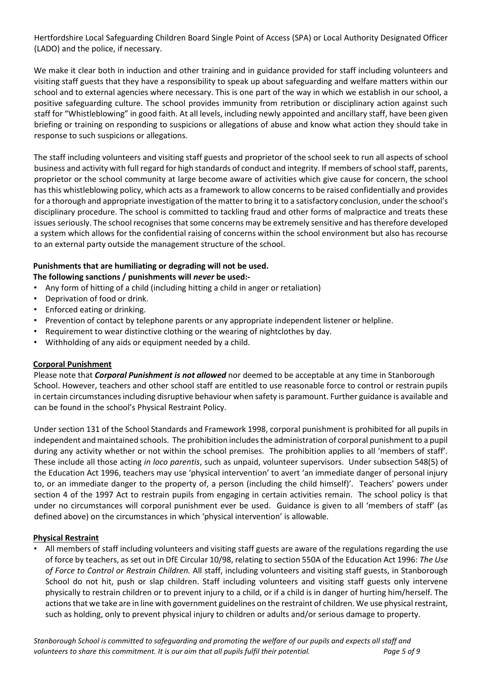Hertfordshire Local Safeguarding Children Board Single Point of Access (SPA) or Local Authority Designated Officer (LADO) and the police, if necessary.

We make it clear both in induction and other training and in guidance provided for staff including volunteers and visiting staff guests that they have a responsibility to speak up about safeguarding and welfare matters within our school and to external agencies where necessary. This is one part of the way in which we establish in our school, a positive safeguarding culture. The school provides immunity from retribution or disciplinary action against such staff for "Whistleblowing" in good faith. At all levels, including newly appointed and ancillary staff, have been given briefing or training on responding to suspicions or allegations of abuse and know what action they should take in response to such suspicions or allegations.

The staff including volunteers and visiting staff guests and proprietor of the school seek to run all aspects of school business and activity with full regard for high standards of conduct and integrity. If members of school staff, parents, proprietor or the school community at large become aware of activities which give cause for concern, the school has this whistleblowing policy, which acts as a framework to allow concerns to be raised confidentially and provides for a thorough and appropriate investigation of the matter to bring it to a satisfactory conclusion, under the school's disciplinary procedure. The school is committed to tackling fraud and other forms of malpractice and treats these issues seriously. The school recognises that some concerns may be extremely sensitive and has therefore developed a system which allows for the confidential raising of concerns within the school environment but also has recourse to an external party outside the management structure of the school.

# **Punishments that are humiliating or degrading will not be used.**

# **The following sanctions / punishments will** *never* **be used:-**

- Any form of hitting of a child (including hitting a child in anger or retaliation)
- Deprivation of food or drink.
- Enforced eating or drinking.
- Prevention of contact by telephone parents or any appropriate independent listener or helpline.
- Requirement to wear distinctive clothing or the wearing of nightclothes by day.
- Withholding of any aids or equipment needed by a child.

# **Corporal Punishment**

Please note that *Corporal Punishment is not allowed* nor deemed to be acceptable at any time in Stanborough School. However, teachers and other school staff are entitled to use reasonable force to control or restrain pupils in certain circumstances including disruptive behaviour when safety is paramount. Further guidance is available and can be found in the school's Physical Restraint Policy.

Under section 131 of the School Standards and Framework 1998, corporal punishment is prohibited for all pupils in independent and maintained schools. The prohibition includes the administration of corporal punishment to a pupil during any activity whether or not within the school premises. The prohibition applies to all 'members of staff'. These include all those acting *in loco parentis*, such as unpaid, volunteer supervisors. Under subsection 548(5) of the Education Act 1996, teachers may use 'physical intervention' to avert 'an immediate danger of personal injury to, or an immediate danger to the property of, a person (including the child himself)'. Teachers' powers under section 4 of the 1997 Act to restrain pupils from engaging in certain activities remain. The school policy is that under no circumstances will corporal punishment ever be used. Guidance is given to all 'members of staff' (as defined above) on the circumstances in which 'physical intervention' is allowable.

# **Physical Restraint**

• All members of staff including volunteers and visiting staff guests are aware of the regulations regarding the use of force by teachers, as set out in DfE Circular 10/98, relating to section 550A of the Education Act 1996: *The Use of Force to Control or Restrain Children.* All staff, including volunteers and visiting staff guests, in Stanborough School do not hit, push or slap children. Staff including volunteers and visiting staff guests only intervene physically to restrain children or to prevent injury to a child, or if a child is in danger of hurting him/herself. The actions that we take are in line with government guidelines on the restraint of children. We use physical restraint, such as holding, only to prevent physical injury to children or adults and/or serious damage to property.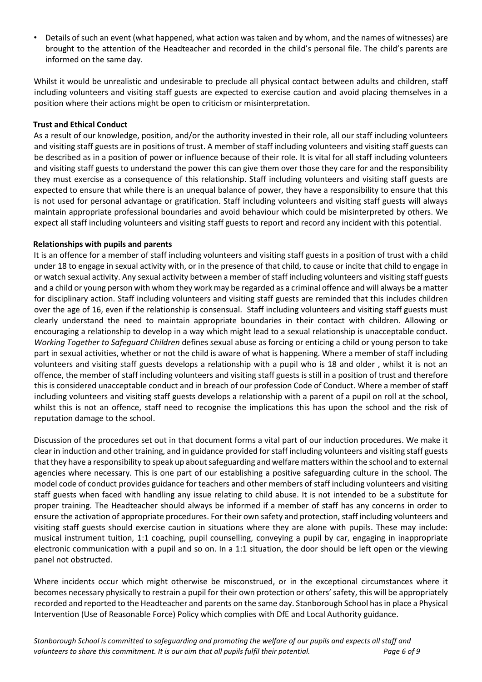• Details of such an event (what happened, what action was taken and by whom, and the names of witnesses) are brought to the attention of the Headteacher and recorded in the child's personal file. The child's parents are informed on the same day.

Whilst it would be unrealistic and undesirable to preclude all physical contact between adults and children, staff including volunteers and visiting staff guests are expected to exercise caution and avoid placing themselves in a position where their actions might be open to criticism or misinterpretation.

## **Trust and Ethical Conduct**

As a result of our knowledge, position, and/or the authority invested in their role, all our staff including volunteers and visiting staff guests are in positions of trust. A member of staff including volunteers and visiting staff guests can be described as in a position of power or influence because of their role. It is vital for all staff including volunteers and visiting staff guests to understand the power this can give them over those they care for and the responsibility they must exercise as a consequence of this relationship. Staff including volunteers and visiting staff guests are expected to ensure that while there is an unequal balance of power, they have a responsibility to ensure that this is not used for personal advantage or gratification. Staff including volunteers and visiting staff guests will always maintain appropriate professional boundaries and avoid behaviour which could be misinterpreted by others. We expect all staff including volunteers and visiting staff guests to report and record any incident with this potential.

#### **Relationships with pupils and parents**

It is an offence for a member of staff including volunteers and visiting staff guests in a position of trust with a child under 18 to engage in sexual activity with, or in the presence of that child, to cause or incite that child to engage in or watch sexual activity. Any sexual activity between a member of staff including volunteers and visiting staff guests and a child or young person with whom they work may be regarded as a criminal offence and will always be a matter for disciplinary action. Staff including volunteers and visiting staff guests are reminded that this includes children over the age of 16, even if the relationship is consensual. Staff including volunteers and visiting staff guests must clearly understand the need to maintain appropriate boundaries in their contact with children. Allowing or encouraging a relationship to develop in a way which might lead to a sexual relationship is unacceptable conduct. *Working Together to Safeguard Children* defines sexual abuse as forcing or enticing a child or young person to take part in sexual activities, whether or not the child is aware of what is happening. Where a member of staff including volunteers and visiting staff guests develops a relationship with a pupil who is 18 and older , whilst it is not an offence, the member of staff including volunteers and visiting staff guests is still in a position of trust and therefore this is considered unacceptable conduct and in breach of our profession Code of Conduct. Where a member of staff including volunteers and visiting staff guests develops a relationship with a parent of a pupil on roll at the school, whilst this is not an offence, staff need to recognise the implications this has upon the school and the risk of reputation damage to the school.

Discussion of the procedures set out in that document forms a vital part of our induction procedures. We make it clear in induction and other training, and in guidance provided for staff including volunteers and visiting staff guests that they have a responsibility to speak up about safeguarding and welfare matters within the school and to external agencies where necessary. This is one part of our establishing a positive safeguarding culture in the school. The model code of conduct provides guidance for teachers and other members of staff including volunteers and visiting staff guests when faced with handling any issue relating to child abuse. It is not intended to be a substitute for proper training. The Headteacher should always be informed if a member of staff has any concerns in order to ensure the activation of appropriate procedures. For their own safety and protection, staff including volunteers and visiting staff guests should exercise caution in situations where they are alone with pupils. These may include: musical instrument tuition, 1:1 coaching, pupil counselling, conveying a pupil by car, engaging in inappropriate electronic communication with a pupil and so on. In a 1:1 situation, the door should be left open or the viewing panel not obstructed.

Where incidents occur which might otherwise be misconstrued, or in the exceptional circumstances where it becomes necessary physically to restrain a pupil for their own protection or others' safety, this will be appropriately recorded and reported to the Headteacher and parents on the same day. Stanborough School has in place a Physical Intervention (Use of Reasonable Force) Policy which complies with DfE and Local Authority guidance.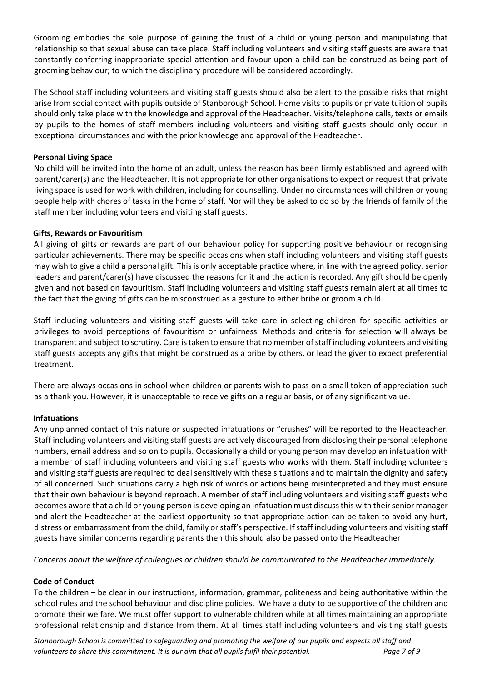Grooming embodies the sole purpose of gaining the trust of a child or young person and manipulating that relationship so that sexual abuse can take place. Staff including volunteers and visiting staff guests are aware that constantly conferring inappropriate special attention and favour upon a child can be construed as being part of grooming behaviour; to which the disciplinary procedure will be considered accordingly.

The School staff including volunteers and visiting staff guests should also be alert to the possible risks that might arise from social contact with pupils outside of Stanborough School. Home visits to pupils or private tuition of pupils should only take place with the knowledge and approval of the Headteacher. Visits/telephone calls, texts or emails by pupils to the homes of staff members including volunteers and visiting staff guests should only occur in exceptional circumstances and with the prior knowledge and approval of the Headteacher.

## **Personal Living Space**

No child will be invited into the home of an adult, unless the reason has been firmly established and agreed with parent/carer(s) and the Headteacher. It is not appropriate for other organisations to expect or request that private living space is used for work with children, including for counselling. Under no circumstances will children or young people help with chores of tasks in the home of staff. Nor will they be asked to do so by the friends of family of the staff member including volunteers and visiting staff guests.

## **Gifts, Rewards or Favouritism**

All giving of gifts or rewards are part of our behaviour policy for supporting positive behaviour or recognising particular achievements. There may be specific occasions when staff including volunteers and visiting staff guests may wish to give a child a personal gift. This is only acceptable practice where, in line with the agreed policy, senior leaders and parent/carer(s) have discussed the reasons for it and the action is recorded. Any gift should be openly given and not based on favouritism. Staff including volunteers and visiting staff guests remain alert at all times to the fact that the giving of gifts can be misconstrued as a gesture to either bribe or groom a child.

Staff including volunteers and visiting staff guests will take care in selecting children for specific activities or privileges to avoid perceptions of favouritism or unfairness. Methods and criteria for selection will always be transparent and subject to scrutiny. Care is taken to ensure that no member of staff including volunteers and visiting staff guests accepts any gifts that might be construed as a bribe by others, or lead the giver to expect preferential treatment.

There are always occasions in school when children or parents wish to pass on a small token of appreciation such as a thank you. However, it is unacceptable to receive gifts on a regular basis, or of any significant value.

#### **Infatuations**

Any unplanned contact of this nature or suspected infatuations or "crushes" will be reported to the Headteacher. Staff including volunteers and visiting staff guests are actively discouraged from disclosing their personal telephone numbers, email address and so on to pupils. Occasionally a child or young person may develop an infatuation with a member of staff including volunteers and visiting staff guests who works with them. Staff including volunteers and visiting staff guests are required to deal sensitively with these situations and to maintain the dignity and safety of all concerned. Such situations carry a high risk of words or actions being misinterpreted and they must ensure that their own behaviour is beyond reproach. A member of staff including volunteers and visiting staff guests who becomes aware that a child or young person is developing an infatuation must discuss this with their senior manager and alert the Headteacher at the earliest opportunity so that appropriate action can be taken to avoid any hurt, distress or embarrassment from the child, family or staff's perspective. If staff including volunteers and visiting staff guests have similar concerns regarding parents then this should also be passed onto the Headteacher

*Concerns about the welfare of colleagues or children should be communicated to the Headteacher immediately.* 

# **Code of Conduct**

To the children – be clear in our instructions, information, grammar, politeness and being authoritative within the school rules and the school behaviour and discipline policies. We have a duty to be supportive of the children and promote their welfare. We must offer support to vulnerable children while at all times maintaining an appropriate professional relationship and distance from them. At all times staff including volunteers and visiting staff guests

*Stanborough School is committed to safeguarding and promoting the welfare of our pupils and expects all staff and volunteers to share this commitment. It is our aim that all pupils fulfil their potential. Page 7 of 9*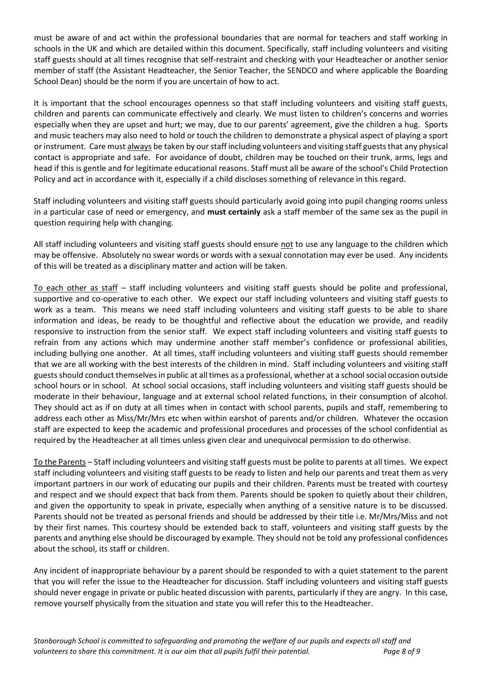must be aware of and act within the professional boundaries that are normal for teachers and staff working in schools in the UK and which are detailed within this document. Specifically, staff including volunteers and visiting staff guests should at all times recognise that self-restraint and checking with your Headteacher or another senior member of staff (the Assistant Headteacher, the Senior Teacher, the SENDCO and where applicable the Boarding School Dean) should be the norm if you are uncertain of how to act.

It is important that the school encourages openness so that staff including volunteers and visiting staff guests, children and parents can communicate effectively and clearly. We must listen to children's concerns and worries especially when they are upset and hurt; we may, due to our parents' agreement, give the children a hug. Sports and music teachers may also need to hold or touch the children to demonstrate a physical aspect of playing a sport or instrument. Care must always be taken by our staff including volunteers and visiting staff guests that any physical contact is appropriate and safe. For avoidance of doubt, children may be touched on their trunk, arms, legs and head if this is gentle and for legitimate educational reasons. Staff must all be aware of the school's Child Protection Policy and act in accordance with it, especially if a child discloses something of relevance in this regard.

Staff including volunteers and visiting staff guests should particularly avoid going into pupil changing rooms unless in a particular case of need or emergency, and **must certainly** ask a staff member of the same sex as the pupil in question requiring help with changing.

All staff including volunteers and visiting staff guests should ensure not to use any language to the children which may be offensive. Absolutely no swear words or words with a sexual connotation may ever be used. Any incidents of this will be treated as a disciplinary matter and action will be taken.

To each other as staff – staff including volunteers and visiting staff guests should be polite and professional, supportive and co-operative to each other. We expect our staff including volunteers and visiting staff guests to work as a team. This means we need staff including volunteers and visiting staff guests to be able to share information and ideas, be ready to be thoughtful and reflective about the education we provide, and readily responsive to instruction from the senior staff. We expect staff including volunteers and visiting staff guests to refrain from any actions which may undermine another staff member's confidence or professional abilities, including bullying one another. At all times, staff including volunteers and visiting staff guests should remember that we are all working with the best interests of the children in mind. Staff including volunteers and visiting staff guests should conduct themselves in public at all times as a professional, whether at a school social occasion outside school hours or in school. At school social occasions, staff including volunteers and visiting staff guests should be moderate in their behaviour, language and at external school related functions, in their consumption of alcohol. They should act as if on duty at all times when in contact with school parents, pupils and staff, remembering to address each other as Miss/Mr/Mrs etc when within earshot of parents and/or children. Whatever the occasion staff are expected to keep the academic and professional procedures and processes of the school confidential as required by the Headteacher at all times unless given clear and unequivocal permission to do otherwise.

To the Parents – Staff including volunteers and visiting staff guests must be polite to parents at all times. We expect staff including volunteers and visiting staff guests to be ready to listen and help our parents and treat them as very important partners in our work of educating our pupils and their children. Parents must be treated with courtesy and respect and we should expect that back from them. Parents should be spoken to quietly about their children, and given the opportunity to speak in private, especially when anything of a sensitive nature is to be discussed. Parents should not be treated as personal friends and should be addressed by their title i.e. Mr/Mrs/Miss and not by their first names. This courtesy should be extended back to staff, volunteers and visiting staff guests by the parents and anything else should be discouraged by example. They should not be told any professional confidences about the school, its staff or children.

Any incident of inappropriate behaviour by a parent should be responded to with a quiet statement to the parent that you will refer the issue to the Headteacher for discussion. Staff including volunteers and visiting staff guests should never engage in private or public heated discussion with parents, particularly if they are angry. In this case, remove yourself physically from the situation and state you will refer this to the Headteacher.